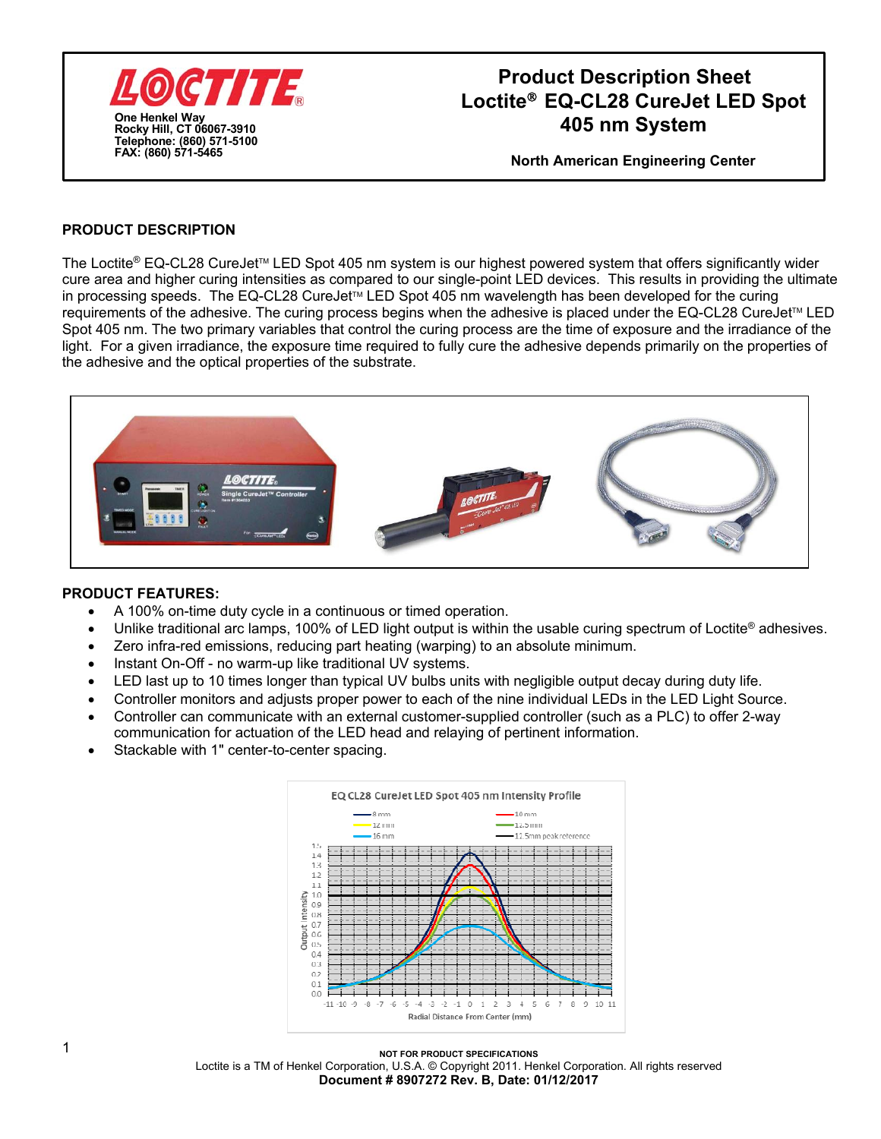

### **Product Description Sheet Loctite EQ-CL28 CureJet LED Spot 405 nm System**

**North American Engineering Center**

### **PRODUCT DESCRIPTION**

The Loctite<sup>®</sup> EQ-CL28 CureJet<sup>™</sup> LED Spot 405 nm system is our highest powered system that offers significantly wider cure area and higher curing intensities as compared to our single-point LED devices. This results in providing the ultimate in processing speeds. The EQ-CL28 CureJet™ LED Spot 405 nm wavelength has been developed for the curing requirements of the adhesive. The curing process begins when the adhesive is placed under the EQ-CL28 CureJet™ LED Spot 405 nm. The two primary variables that control the curing process are the time of exposure and the irradiance of the light. For a given irradiance, the exposure time required to fully cure the adhesive depends primarily on the properties of the adhesive and the optical properties of the substrate.



#### **PRODUCT FEATURES:**

- A 100% on-time duty cycle in a continuous or timed operation.
- $\bullet$  Unlike traditional arc lamps, 100% of LED light output is within the usable curing spectrum of Loctite<sup>®</sup> adhesives.
- Zero infra-red emissions, reducing part heating (warping) to an absolute minimum.
- Instant On-Off no warm-up like traditional UV systems.
- LED last up to 10 times longer than typical UV bulbs units with negligible output decay during duty life.
- Controller monitors and adjusts proper power to each of the nine individual LEDs in the LED Light Source.
- Controller can communicate with an external customer-supplied controller (such as a PLC) to offer 2-way communication for actuation of the LED head and relaying of pertinent information.
- Stackable with 1" center-to-center spacing.



#### **NOT FOR PRODUCT SPECIFICATIONS**  Loctite is a TM of Henkel Corporation, U.S.A. © Copyright 2011. Henkel Corporation. All rights reserved **Document # 8907272 Rev. B, Date: 01/12/2017**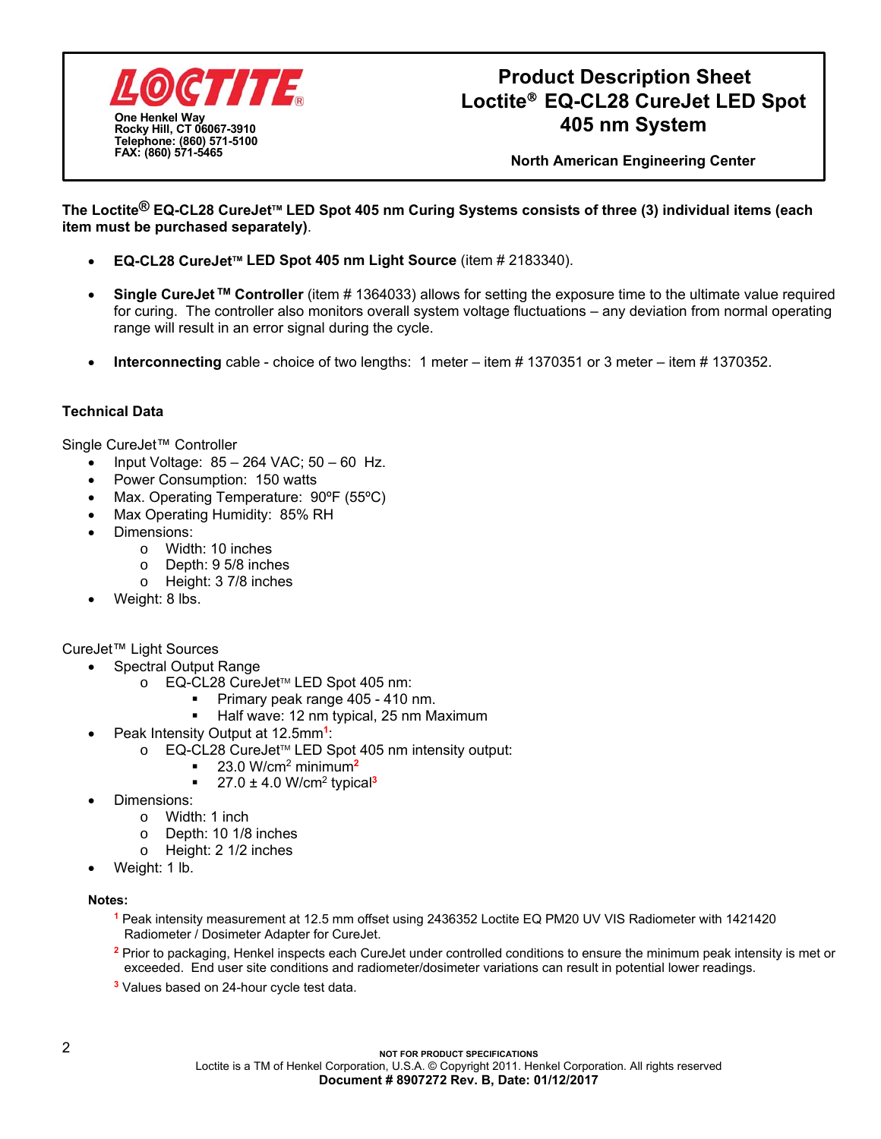

# **Product Description Sheet Loctite EQ-CL28 CureJet LED Spot 405 nm System**

**North American Engineering Center**

**The Loctite® EQ-CL28 CureJetTM LED Spot 405 nm Curing Systems consists of three (3) individual items (each item must be purchased separately)**.

- **EQ-CL28 CureJetTM LED Spot 405 nm Light Source** (item # 2183340).
- **Single CureJet TM Controller** (item # 1364033) allows for setting the exposure time to the ultimate value required for curing. The controller also monitors overall system voltage fluctuations – any deviation from normal operating range will result in an error signal during the cycle.
- **Interconnecting** cable choice of two lengths: 1 meter item # 1370351 or 3 meter item # 1370352.

#### **Technical Data**

Single CureJet™ Controller

- Input Voltage:  $85 264$  VAC;  $50 60$  Hz.
- Power Consumption: 150 watts
- Max. Operating Temperature: 90°F (55°C)
- Max Operating Humidity: 85% RH
- Dimensions:
	- o Width: 10 inches
	- o Depth: 9 5/8 inches
	- o Height: 3 7/8 inches
- Weight: 8 lbs.

#### CureJet™ Light Sources

- Spectral Output Range
	- o EQ-CL28 CureJetTM LED Spot 405 nm:
		- Primary peak range 405 410 nm.
		- Half wave: 12 nm typical, 25 nm Maximum
- Peak Intensity Output at 12.5mm**<sup>1</sup>**:
	- o EQ-CL28 CureJetTM LED Spot 405 nm intensity output:
		- $\sim 23.0 \text{ W/cm}^2 \text{ minimum}^2$
		- $\blacksquare$  27.0  $\pm$  4.0 W/cm<sup>2</sup> typical<sup>3</sup>
- Dimensions:
	- o Width: 1 inch
	- o Depth: 10 1/8 inches
	- o Height: 2 1/2 inches
- Weight: 1 lb.

#### **Notes:**

- **<sup>1</sup>** Peak intensity measurement at 12.5 mm offset using 2436352 Loctite EQ PM20 UV VIS Radiometer with 1421420 Radiometer / Dosimeter Adapter for CureJet.
- **<sup>2</sup>** Prior to packaging, Henkel inspects each CureJet under controlled conditions to ensure the minimum peak intensity is met or exceeded. End user site conditions and radiometer/dosimeter variations can result in potential lower readings.
- **<sup>3</sup>** Values based on 24-hour cycle test data.